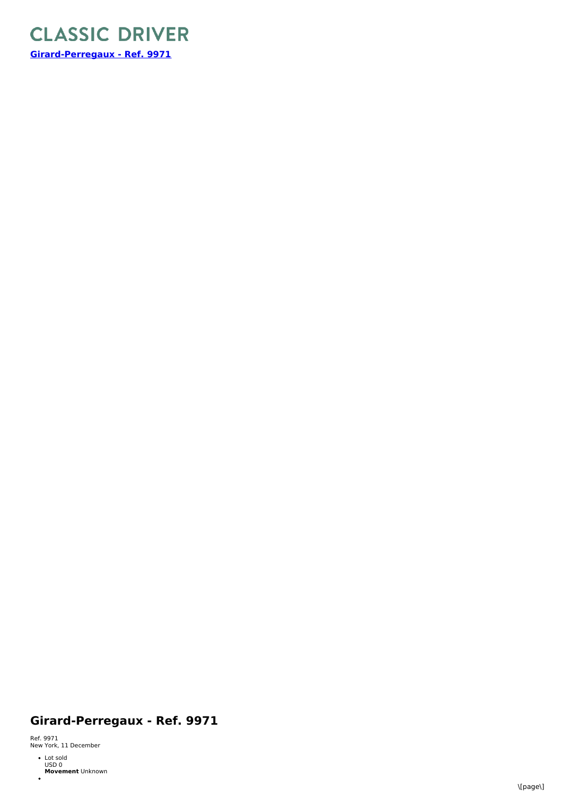

## **Girard-Perregaux - Ref. 9971**

Ref. 9971<br>New York, 11 December

**Movement** Unknown Lot sold USD 0